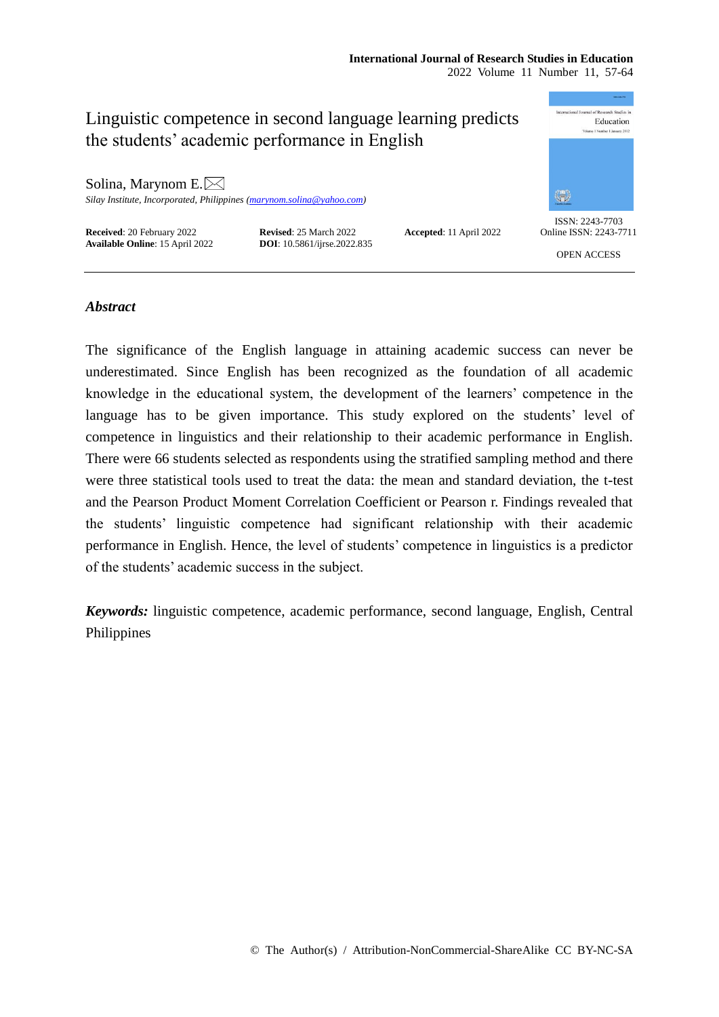

# *Abstract*

The significance of the English language in attaining academic success can never be underestimated. Since English has been recognized as the foundation of all academic knowledge in the educational system, the development of the learners' competence in the language has to be given importance. This study explored on the students' level of competence in linguistics and their relationship to their academic performance in English. There were 66 students selected as respondents using the stratified sampling method and there were three statistical tools used to treat the data: the mean and standard deviation, the t-test and the Pearson Product Moment Correlation Coefficient or Pearson r. Findings revealed that the students' linguistic competence had significant relationship with their academic performance in English. Hence, the level of students' competence in linguistics is a predictor of the students' academic success in the subject.

*Keywords:* linguistic competence, academic performance, second language, English, Central Philippines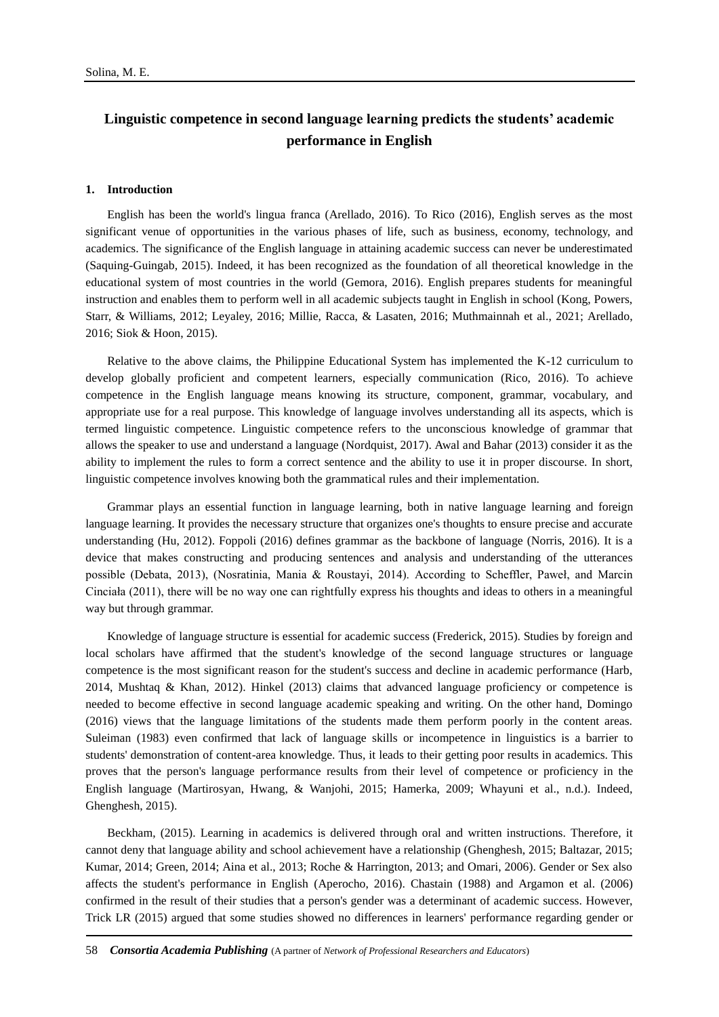# **Linguistic competence in second language learning predicts the students' academic performance in English**

#### **1. Introduction**

English has been the world's lingua franca (Arellado, 2016). To Rico (2016), English serves as the most significant venue of opportunities in the various phases of life, such as business, economy, technology, and academics. The significance of the English language in attaining academic success can never be underestimated (Saquing-Guingab, 2015). Indeed, it has been recognized as the foundation of all theoretical knowledge in the educational system of most countries in the world (Gemora, 2016). English prepares students for meaningful instruction and enables them to perform well in all academic subjects taught in English in school (Kong, Powers, Starr, & Williams, 2012; Leyaley, 2016; Millie, Racca, & Lasaten, 2016; Muthmainnah et al., 2021; Arellado, 2016; Siok & Hoon, 2015).

Relative to the above claims, the Philippine Educational System has implemented the K-12 curriculum to develop globally proficient and competent learners, especially communication (Rico, 2016). To achieve competence in the English language means knowing its structure, component, grammar, vocabulary, and appropriate use for a real purpose. This knowledge of language involves understanding all its aspects, which is termed linguistic competence. Linguistic competence refers to the unconscious knowledge of grammar that allows the speaker to use and understand a language (Nordquist, 2017). Awal and Bahar (2013) consider it as the ability to implement the rules to form a correct sentence and the ability to use it in proper discourse. In short, linguistic competence involves knowing both the grammatical rules and their implementation.

Grammar plays an essential function in language learning, both in native language learning and foreign language learning. It provides the necessary structure that organizes one's thoughts to ensure precise and accurate understanding (Hu, 2012). Foppoli (2016) defines grammar as the backbone of language (Norris, 2016). It is a device that makes constructing and producing sentences and analysis and understanding of the utterances possible (Debata, 2013), (Nosratinia, Mania & Roustayi, 2014). According to Scheffler, Paweł, and Marcin Cinciała (2011), there will be no way one can rightfully express his thoughts and ideas to others in a meaningful way but through grammar.

Knowledge of language structure is essential for academic success (Frederick, 2015). Studies by foreign and local scholars have affirmed that the student's knowledge of the second language structures or language competence is the most significant reason for the student's success and decline in academic performance (Harb, 2014, Mushtaq & Khan, 2012). Hinkel (2013) claims that advanced language proficiency or competence is needed to become effective in second language academic speaking and writing. On the other hand, Domingo (2016) views that the language limitations of the students made them perform poorly in the content areas. Suleiman (1983) even confirmed that lack of language skills or incompetence in linguistics is a barrier to students' demonstration of content-area knowledge. Thus, it leads to their getting poor results in academics. This proves that the person's language performance results from their level of competence or proficiency in the English language (Martirosyan, Hwang, & Wanjohi, 2015; Hamerka, 2009; Whayuni et al., n.d.). Indeed, Ghenghesh, 2015).

Beckham, (2015). Learning in academics is delivered through oral and written instructions. Therefore, it cannot deny that language ability and school achievement have a relationship (Ghenghesh, 2015; Baltazar, 2015; Kumar, 2014; Green, 2014; Aina et al., 2013; Roche & Harrington, 2013; and Omari, 2006). Gender or Sex also affects the student's performance in English (Aperocho, 2016). Chastain (1988) and Argamon et al. (2006) confirmed in the result of their studies that a person's gender was a determinant of academic success. However, Trick LR (2015) argued that some studies showed no differences in learners' performance regarding gender or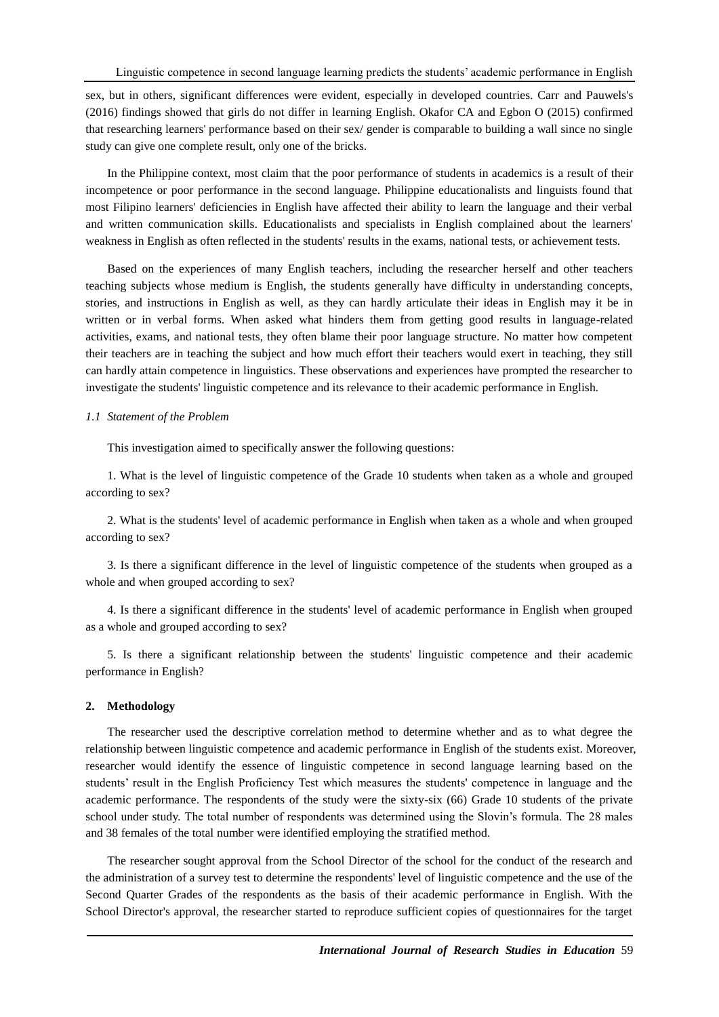sex, but in others, significant differences were evident, especially in developed countries. Carr and Pauwels's (2016) findings showed that girls do not differ in learning English. Okafor CA and Egbon O (2015) confirmed that researching learners' performance based on their sex/ gender is comparable to building a wall since no single study can give one complete result, only one of the bricks.

In the Philippine context, most claim that the poor performance of students in academics is a result of their incompetence or poor performance in the second language. Philippine educationalists and linguists found that most Filipino learners' deficiencies in English have affected their ability to learn the language and their verbal and written communication skills. Educationalists and specialists in English complained about the learners' weakness in English as often reflected in the students' results in the exams, national tests, or achievement tests.

Based on the experiences of many English teachers, including the researcher herself and other teachers teaching subjects whose medium is English, the students generally have difficulty in understanding concepts, stories, and instructions in English as well, as they can hardly articulate their ideas in English may it be in written or in verbal forms. When asked what hinders them from getting good results in language-related activities, exams, and national tests, they often blame their poor language structure. No matter how competent their teachers are in teaching the subject and how much effort their teachers would exert in teaching, they still can hardly attain competence in linguistics. These observations and experiences have prompted the researcher to investigate the students' linguistic competence and its relevance to their academic performance in English.

# *1.1 Statement of the Problem*

This investigation aimed to specifically answer the following questions:

1. What is the level of linguistic competence of the Grade 10 students when taken as a whole and grouped according to sex?

2. What is the students' level of academic performance in English when taken as a whole and when grouped according to sex?

3. Is there a significant difference in the level of linguistic competence of the students when grouped as a whole and when grouped according to sex?

4. Is there a significant difference in the students' level of academic performance in English when grouped as a whole and grouped according to sex?

5. Is there a significant relationship between the students' linguistic competence and their academic performance in English?

#### **2. Methodology**

The researcher used the descriptive correlation method to determine whether and as to what degree the relationship between linguistic competence and academic performance in English of the students exist. Moreover, researcher would identify the essence of linguistic competence in second language learning based on the students' result in the English Proficiency Test which measures the students' competence in language and the academic performance. The respondents of the study were the sixty-six (66) Grade 10 students of the private school under study. The total number of respondents was determined using the Slovin's formula. The 28 males and 38 females of the total number were identified employing the stratified method.

The researcher sought approval from the School Director of the school for the conduct of the research and the administration of a survey test to determine the respondents' level of linguistic competence and the use of the Second Quarter Grades of the respondents as the basis of their academic performance in English. With the School Director's approval, the researcher started to reproduce sufficient copies of questionnaires for the target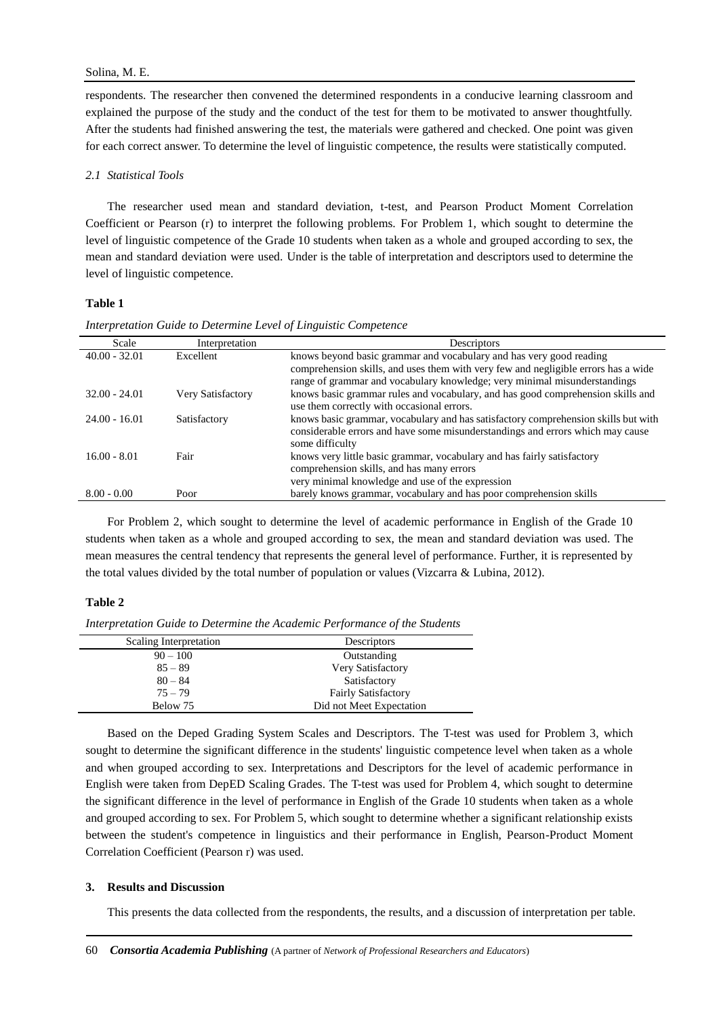respondents. The researcher then convened the determined respondents in a conducive learning classroom and explained the purpose of the study and the conduct of the test for them to be motivated to answer thoughtfully. After the students had finished answering the test, the materials were gathered and checked. One point was given for each correct answer. To determine the level of linguistic competence, the results were statistically computed.

#### *2.1 Statistical Tools*

The researcher used mean and standard deviation, t-test, and Pearson Product Moment Correlation Coefficient or Pearson (r) to interpret the following problems. For Problem 1, which sought to determine the level of linguistic competence of the Grade 10 students when taken as a whole and grouped according to sex, the mean and standard deviation were used. Under is the table of interpretation and descriptors used to determine the level of linguistic competence.

# **Table 1**

| Scale           | Interpretation    | Descriptors                                                                                                                                                     |
|-----------------|-------------------|-----------------------------------------------------------------------------------------------------------------------------------------------------------------|
| $40.00 - 32.01$ | Excellent         | knows beyond basic grammar and vocabulary and has very good reading                                                                                             |
|                 |                   | comprehension skills, and uses them with very few and negligible errors has a wide<br>range of grammar and vocabulary knowledge; very minimal misunderstandings |
| $32.00 - 24.01$ | Very Satisfactory | knows basic grammar rules and vocabulary, and has good comprehension skills and                                                                                 |
|                 |                   | use them correctly with occasional errors.                                                                                                                      |
| $24.00 - 16.01$ | Satisfactory      | knows basic grammar, vocabulary and has satisfactory comprehension skills but with                                                                              |
|                 |                   | considerable errors and have some misunderstandings and errors which may cause<br>some difficulty                                                               |
| $16.00 - 8.01$  | Fair              | knows very little basic grammar, vocabulary and has fairly satisfactory                                                                                         |
|                 |                   | comprehension skills, and has many errors                                                                                                                       |
|                 |                   | very minimal knowledge and use of the expression                                                                                                                |
| $8.00 - 0.00$   | Poor              | barely knows grammar, vocabulary and has poor comprehension skills                                                                                              |

*Interpretation Guide to Determine Level of Linguistic Competence*

For Problem 2, which sought to determine the level of academic performance in English of the Grade 10 students when taken as a whole and grouped according to sex, the mean and standard deviation was used. The mean measures the central tendency that represents the general level of performance. Further, it is represented by the total values divided by the total number of population or values (Vizcarra & Lubina, 2012).

# **Table 2**

*Interpretation Guide to Determine the Academic Performance of the Students*

| Scaling Interpretation | Descriptors                |
|------------------------|----------------------------|
| $90 - 100$             | Outstanding                |
| $85 - 89$              | Very Satisfactory          |
| $80 - 84$              | Satisfactory               |
| $75 - 79$              | <b>Fairly Satisfactory</b> |
| Below 75               | Did not Meet Expectation   |

Based on the Deped Grading System Scales and Descriptors. The T-test was used for Problem 3, which sought to determine the significant difference in the students' linguistic competence level when taken as a whole and when grouped according to sex. Interpretations and Descriptors for the level of academic performance in English were taken from DepED Scaling Grades. The T-test was used for Problem 4, which sought to determine the significant difference in the level of performance in English of the Grade 10 students when taken as a whole and grouped according to sex. For Problem 5, which sought to determine whether a significant relationship exists between the student's competence in linguistics and their performance in English, Pearson-Product Moment Correlation Coefficient (Pearson r) was used.

#### **3. Results and Discussion**

This presents the data collected from the respondents, the results, and a discussion of interpretation per table.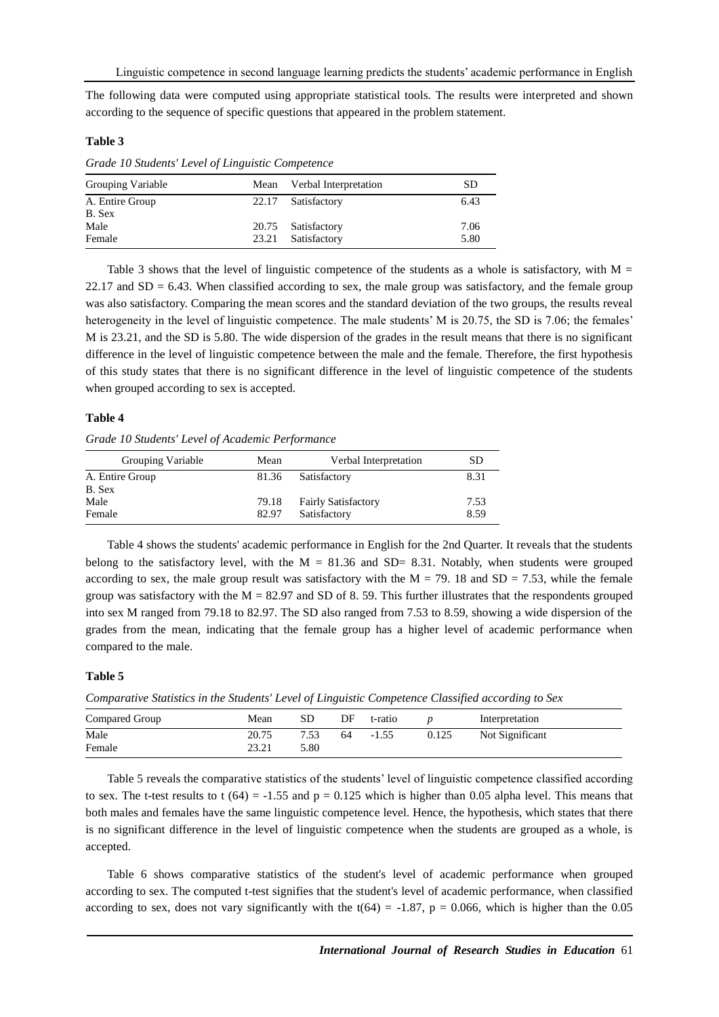The following data were computed using appropriate statistical tools. The results were interpreted and shown according to the sequence of specific questions that appeared in the problem statement.

#### **Table 3**

*Grade 10 Students' Level of Linguistic Competence*

| Grouping Variable         | Mean Verbal Interpretation               | SD           |
|---------------------------|------------------------------------------|--------------|
| A. Entire Group<br>B. Sex | 22.17 Satisfactory                       | 6.43         |
| Male<br>Female            | 20.75 Satisfactory<br>23.21 Satisfactory | 7.06<br>5.80 |

Table 3 shows that the level of linguistic competence of the students as a whole is satisfactory, with  $M =$  $22.17$  and SD = 6.43. When classified according to sex, the male group was satisfactory, and the female group was also satisfactory. Comparing the mean scores and the standard deviation of the two groups, the results reveal heterogeneity in the level of linguistic competence. The male students' M is 20.75, the SD is 7.06; the females' M is 23.21, and the SD is 5.80. The wide dispersion of the grades in the result means that there is no significant difference in the level of linguistic competence between the male and the female. Therefore, the first hypothesis of this study states that there is no significant difference in the level of linguistic competence of the students when grouped according to sex is accepted.

# **Table 4**

*Grade 10 Students' Level of Academic Performance*

| Grouping Variable | Mean  | Verbal Interpretation      | <b>SD</b> |
|-------------------|-------|----------------------------|-----------|
| A. Entire Group   | 81.36 | Satisfactory               | 8.31      |
| B. Sex            |       |                            |           |
| Male              | 79.18 | <b>Fairly Satisfactory</b> | 7.53      |
| Female            | 82.97 | Satisfactory               | 8.59      |

Table 4 shows the students' academic performance in English for the 2nd Quarter. It reveals that the students belong to the satisfactory level, with the  $M = 81.36$  and SD= 8.31. Notably, when students were grouped according to sex, the male group result was satisfactory with the  $M = 79$ . 18 and  $SD = 7.53$ , while the female group was satisfactory with the  $M = 82.97$  and SD of 8.59. This further illustrates that the respondents grouped into sex M ranged from 79.18 to 82.97. The SD also ranged from 7.53 to 8.59, showing a wide dispersion of the grades from the mean, indicating that the female group has a higher level of academic performance when compared to the male.

#### **Table 5**

*Comparative Statistics in the Students' Level of Linguistic Competence Classified according to Sex*

| Compared Group | Mean  | SD   | DF | t-ratio |       | Interpretation  |
|----------------|-------|------|----|---------|-------|-----------------|
| Male           | 20.75 | 7.53 | 64 | $-1.55$ | 0.125 | Not Significant |
| Female         | 23.21 | 5.80 |    |         |       |                 |

Table 5 reveals the comparative statistics of the students' level of linguistic competence classified according to sex. The t-test results to t  $(64) = -1.55$  and  $p = 0.125$  which is higher than 0.05 alpha level. This means that both males and females have the same linguistic competence level. Hence, the hypothesis, which states that there is no significant difference in the level of linguistic competence when the students are grouped as a whole, is accepted.

Table 6 shows comparative statistics of the student's level of academic performance when grouped according to sex. The computed t-test signifies that the student's level of academic performance, when classified according to sex, does not vary significantly with the t(64) = -1.87, p = 0.066, which is higher than the 0.05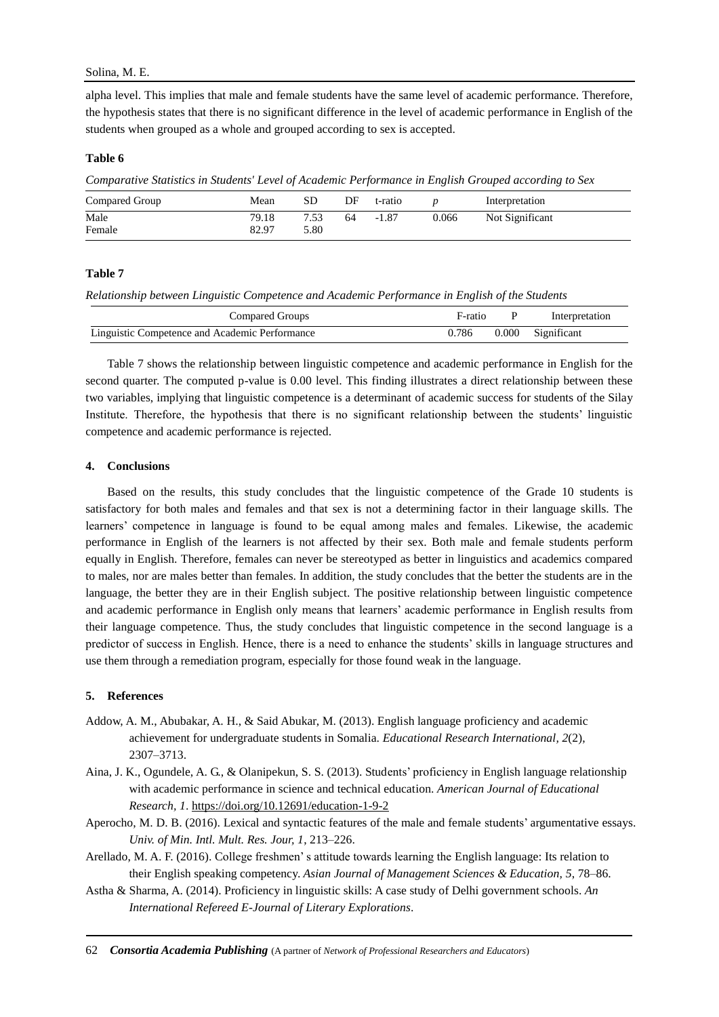alpha level. This implies that male and female students have the same level of academic performance. Therefore, the hypothesis states that there is no significant difference in the level of academic performance in English of the students when grouped as a whole and grouped according to sex is accepted.

# **Table 6**

*Comparative Statistics in Students' Level of Academic Performance in English Grouped according to Sex*

| Compared Group | Mean  | $_{\rm SD}$ | DF | t-ratio |       | Interpretation  |
|----------------|-------|-------------|----|---------|-------|-----------------|
| Male           | 79.18 | 7.53        | 64 | $-1.87$ | 0.066 | Not Significant |
| Female         | 82.97 | 5.80        |    |         |       |                 |

#### **Table 7**

*Relationship between Linguistic Competence and Academic Performance in English of the Students*

| Compared Groups                                | F-ratio P | Interpretation              |
|------------------------------------------------|-----------|-----------------------------|
| Linguistic Competence and Academic Performance |           | $0.786$ $0.000$ Significant |

Table 7 shows the relationship between linguistic competence and academic performance in English for the second quarter. The computed p-value is 0.00 level. This finding illustrates a direct relationship between these two variables, implying that linguistic competence is a determinant of academic success for students of the Silay Institute. Therefore, the hypothesis that there is no significant relationship between the students' linguistic competence and academic performance is rejected.

#### **4. Conclusions**

Based on the results, this study concludes that the linguistic competence of the Grade 10 students is satisfactory for both males and females and that sex is not a determining factor in their language skills. The learners' competence in language is found to be equal among males and females. Likewise, the academic performance in English of the learners is not affected by their sex. Both male and female students perform equally in English. Therefore, females can never be stereotyped as better in linguistics and academics compared to males, nor are males better than females. In addition, the study concludes that the better the students are in the language, the better they are in their English subject. The positive relationship between linguistic competence and academic performance in English only means that learners' academic performance in English results from their language competence. Thus, the study concludes that linguistic competence in the second language is a predictor of success in English. Hence, there is a need to enhance the students' skills in language structures and use them through a remediation program, especially for those found weak in the language.

#### **5. References**

- Addow, A. M., Abubakar, A. H., & Said Abukar, M. (2013). English language proficiency and academic achievement for undergraduate students in Somalia. *Educational Research International, 2*(2), 2307–3713.
- Aina, J. K., Ogundele, A. G., & Olanipekun, S. S. (2013). Students' proficiency in English language relationship with academic performance in science and technical education. *American Journal of Educational Research, 1*[. https://doi.org/10.12691/education-1-9-2](https://doi.org/10.12691/education-1-9-2)
- Aperocho, M. D. B. (2016). Lexical and syntactic features of the male and female students' argumentative essays. *Univ. of Min. Intl. Mult. Res. Jour, 1*, 213–226.
- Arellado, M. A. F. (2016). College freshmen' s attitude towards learning the English language: Its relation to their English speaking competency. *Asian Journal of Management Sciences & Education, 5*, 78–86.
- Astha & Sharma, A. (2014). Proficiency in linguistic skills: A case study of Delhi government schools. *An International Refereed E-Journal of Literary Explorations*.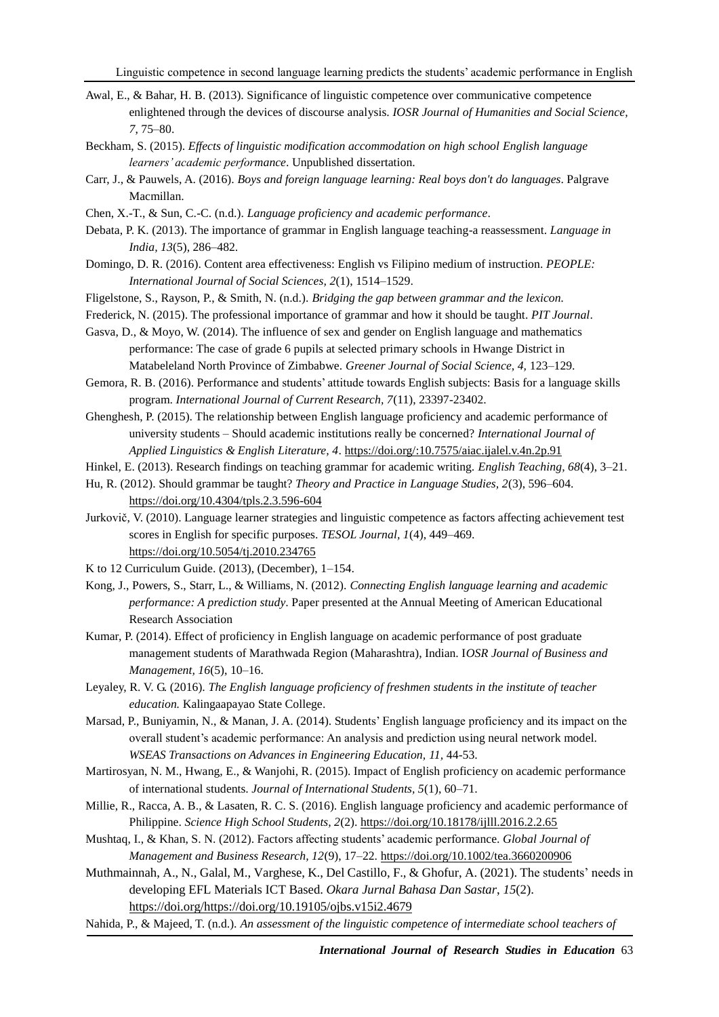- Awal, E., & Bahar, H. B. (2013). Significance of linguistic competence over communicative competence enlightened through the devices of discourse analysis. *IOSR Journal of Humanities and Social Science, 7*, 75–80.
- Beckham, S. (2015). *Effects of linguistic modification accommodation on high school English language learners' academic performance*. Unpublished dissertation.
- Carr, J., & Pauwels, A. (2016). *Boys and foreign language learning: Real boys don't do languages*. Palgrave Macmillan.
- Chen, X.-T., & Sun, C.-C. (n.d.). *Language proficiency and academic performance*.
- Debata, P. K. (2013). The importance of grammar in English language teaching-a reassessment. *Language in India, 13*(5), 286–482.
- Domingo, D. R. (2016). Content area effectiveness: English vs Filipino medium of instruction. *PEOPLE: International Journal of Social Sciences, 2*(1), 1514–1529.
- Fligelstone, S., Rayson, P., & Smith, N. (n.d.). *Bridging the gap between grammar and the lexicon.*
- Frederick, N. (2015). The professional importance of grammar and how it should be taught. *PIT Journal*.
- Gasva, D., & Moyo, W. (2014). The influence of sex and gender on English language and mathematics performance: The case of grade 6 pupils at selected primary schools in Hwange District in Matabeleland North Province of Zimbabwe. *Greener Journal of Social Science, 4,* 123–129.
- Gemora, R. B. (2016). Performance and students' attitude towards English subjects: Basis for a language skills program. *International Journal of Current Research, 7*(11), 23397-23402.
- Ghenghesh, P. (2015). The relationship between English language proficiency and academic performance of university students – Should academic institutions really be concerned? *International Journal of Applied Linguistics & English Literature, 4*.<https://doi.org/:10.7575/aiac.ijalel.v.4n.2p.91>
- Hinkel, E. (2013). Research findings on teaching grammar for academic writing. *English Teaching, 68*(4), 3–21.
- Hu, R. (2012). Should grammar be taught? *Theory and Practice in Language Studies, 2*(3), 596–604. <https://doi.org/10.4304/tpls.2.3.596-604>
- Jurkovič, V. (2010). Language learner strategies and linguistic competence as factors affecting achievement test scores in English for specific purposes. *TESOL Journal, 1*(4), 449–469. <https://doi.org/10.5054/tj.2010.234765>
- K to 12 Curriculum Guide. (2013), (December), 1–154.
- Kong, J., Powers, S., Starr, L., & Williams, N. (2012). *Connecting English language learning and academic performance: A prediction study*. Paper presented at the Annual Meeting of American Educational Research Association
- Kumar, P. (2014). Effect of proficiency in English language on academic performance of post graduate management students of Marathwada Region (Maharashtra), Indian. I*OSR Journal of Business and Management, 16*(5), 10–16.
- Leyaley, R. V. G. (2016). *The English language proficiency of freshmen students in the institute of teacher education.* Kalingaapayao State College.
- Marsad, P., Buniyamin, N., & Manan, J. A. (2014). Students' English language proficiency and its impact on the overall student's academic performance: An analysis and prediction using neural network model. *WSEAS Transactions on Advances in Engineering Education, 11,* 44-53.
- Martirosyan, N. M., Hwang, E., & Wanjohi, R. (2015). Impact of English proficiency on academic performance of international students. *Journal of International Students, 5*(1), 60–71.
- Millie, R., Racca, A. B., & Lasaten, R. C. S. (2016). English language proficiency and academic performance of Philippine. *Science High School Students, 2*(2)[. https://doi.org/10.18178/ijlll.2016.2.2.65](https://doi.org/10.18178/ijlll.2016.2.2.65)
- Mushtaq, I., & Khan, S. N. (2012). Factors affecting students' academic performance. *Global Journal of Management and Business Research, 12*(9), 17–22.<https://doi.org/10.1002/tea.3660200906>
- Muthmainnah, A., N., Galal, M., Varghese, K., Del Castillo, F., & Ghofur, A. (2021). The students' needs in developing EFL Materials ICT Based. *Okara Jurnal Bahasa Dan Sastar*, *15*(2). [https://doi.org/https://doi.org/10.19105/ojbs.v15i2.4679](https://doi.org/https:/doi.org/10.19105/ojbs.v15i2.4679)
- Nahida, P., & Majeed, T. (n.d.). *An assessment of the linguistic competence of intermediate school teachers of*